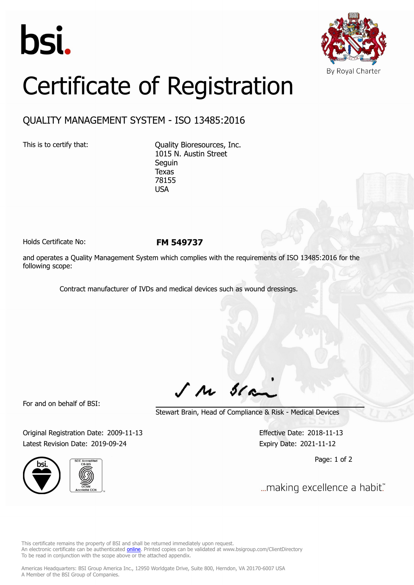



## Certificate of Registration

## QUALITY MANAGEMENT SYSTEM - ISO 13485:2016

This is to certify that: Quality Bioresources, Inc. 1015 N. Austin Street Seguin Texas 78155 USA

Holds Certificate No: **FM 549737**

and operates a Quality Management System which complies with the requirements of ISO 13485:2016 for the following scope:

Contract manufacturer of IVDs and medical devices such as wound dressings.

For and on behalf of BSI:

 $J$   $M$   $31$ 

Stewart Brain, Head of Compliance & Risk - Medical Devices

Original Registration Date: 2009-11-13 Effective Date: 2018-11-13 Latest Revision Date: 2019-09-24 Expiry Date: 2021-11-12





Page: 1 of 2

... making excellence a habit."

This certificate remains the property of BSI and shall be returned immediately upon request. An electronic certificate can be authenticated *[online](https://pgplus.bsigroup.com/CertificateValidation/CertificateValidator.aspx?CertificateNumber=FM+549737&ReIssueDate=24%2f09%2f2019&Template=inc)*. Printed copies can be validated at www.bsigroup.com/ClientDirectory To be read in conjunction with the scope above or the attached appendix.

Americas Headquarters: BSI Group America Inc., 12950 Worldgate Drive, Suite 800, Herndon, VA 20170-6007 USA A Member of the BSI Group of Companies.